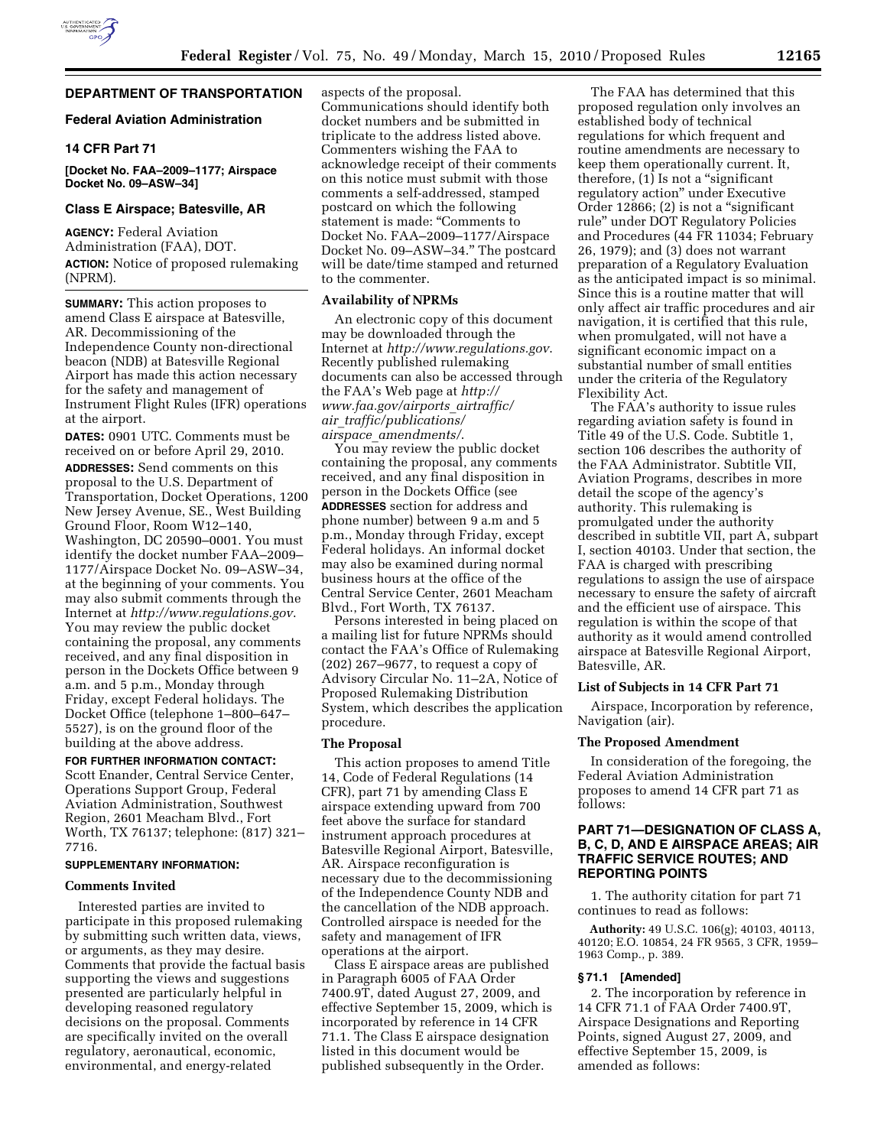# **DEPARTMENT OF TRANSPORTATION**

## **Federal Aviation Administration**

# **14 CFR Part 71**

**[Docket No. FAA–2009–1177; Airspace Docket No. 09–ASW–34]** 

### **Class E Airspace; Batesville, AR**

**AGENCY:** Federal Aviation Administration (FAA), DOT. **ACTION:** Notice of proposed rulemaking (NPRM).

**SUMMARY:** This action proposes to amend Class E airspace at Batesville, AR. Decommissioning of the Independence County non-directional beacon (NDB) at Batesville Regional Airport has made this action necessary for the safety and management of Instrument Flight Rules (IFR) operations at the airport.

**DATES:** 0901 UTC. Comments must be received on or before April 29, 2010.

**ADDRESSES:** Send comments on this proposal to the U.S. Department of Transportation, Docket Operations, 1200 New Jersey Avenue, SE., West Building Ground Floor, Room W12–140, Washington, DC 20590–0001. You must identify the docket number FAA–2009– 1177/Airspace Docket No. 09–ASW–34, at the beginning of your comments. You may also submit comments through the Internet at *http://www.regulations.gov*. You may review the public docket containing the proposal, any comments received, and any final disposition in person in the Dockets Office between 9 a.m. and 5 p.m., Monday through Friday, except Federal holidays. The Docket Office (telephone 1–800–647– 5527), is on the ground floor of the building at the above address.

**FOR FURTHER INFORMATION CONTACT:**  Scott Enander, Central Service Center, Operations Support Group, Federal Aviation Administration, Southwest Region, 2601 Meacham Blvd., Fort Worth, TX 76137; telephone: (817) 321– 7716.

### **SUPPLEMENTARY INFORMATION:**

### **Comments Invited**

Interested parties are invited to participate in this proposed rulemaking by submitting such written data, views, or arguments, as they may desire. Comments that provide the factual basis supporting the views and suggestions presented are particularly helpful in developing reasoned regulatory decisions on the proposal. Comments are specifically invited on the overall regulatory, aeronautical, economic, environmental, and energy-related

aspects of the proposal. Communications should identify both docket numbers and be submitted in triplicate to the address listed above. Commenters wishing the FAA to acknowledge receipt of their comments on this notice must submit with those comments a self-addressed, stamped postcard on which the following statement is made: ''Comments to Docket No. FAA–2009–1177/Airspace Docket No. 09–ASW–34.'' The postcard will be date/time stamped and returned to the commenter.

### **Availability of NPRMs**

An electronic copy of this document may be downloaded through the Internet at *http://www.regulations.gov*. Recently published rulemaking documents can also be accessed through the FAA's Web page at *http:// www.faa.gov/airports*\_*airtraffic/ air*\_*traffic/publications/ airspace*\_*amendments/*.

You may review the public docket containing the proposal, any comments received, and any final disposition in person in the Dockets Office (see **ADDRESSES** section for address and phone number) between 9 a.m and 5 p.m., Monday through Friday, except Federal holidays. An informal docket may also be examined during normal business hours at the office of the Central Service Center, 2601 Meacham Blvd., Fort Worth, TX 76137.

Persons interested in being placed on a mailing list for future NPRMs should contact the FAA's Office of Rulemaking (202) 267–9677, to request a copy of Advisory Circular No. 11–2A, Notice of Proposed Rulemaking Distribution System, which describes the application procedure.

#### **The Proposal**

This action proposes to amend Title 14, Code of Federal Regulations (14 CFR), part 71 by amending Class E airspace extending upward from 700 feet above the surface for standard instrument approach procedures at Batesville Regional Airport, Batesville, AR. Airspace reconfiguration is necessary due to the decommissioning of the Independence County NDB and the cancellation of the NDB approach. Controlled airspace is needed for the safety and management of IFR operations at the airport.

Class E airspace areas are published in Paragraph 6005 of FAA Order 7400.9T, dated August 27, 2009, and effective September 15, 2009, which is incorporated by reference in 14 CFR 71.1. The Class E airspace designation listed in this document would be published subsequently in the Order.

The FAA has determined that this proposed regulation only involves an established body of technical regulations for which frequent and routine amendments are necessary to keep them operationally current. It, therefore, (1) Is not a ''significant regulatory action'' under Executive Order 12866; (2) is not a "significant rule'' under DOT Regulatory Policies and Procedures (44 FR 11034; February 26, 1979); and (3) does not warrant preparation of a Regulatory Evaluation as the anticipated impact is so minimal. Since this is a routine matter that will only affect air traffic procedures and air navigation, it is certified that this rule, when promulgated, will not have a significant economic impact on a substantial number of small entities under the criteria of the Regulatory Flexibility Act.

The FAA's authority to issue rules regarding aviation safety is found in Title 49 of the U.S. Code. Subtitle 1, section 106 describes the authority of the FAA Administrator. Subtitle VII, Aviation Programs, describes in more detail the scope of the agency's authority. This rulemaking is promulgated under the authority described in subtitle VII, part A, subpart I, section 40103. Under that section, the FAA is charged with prescribing regulations to assign the use of airspace necessary to ensure the safety of aircraft and the efficient use of airspace. This regulation is within the scope of that authority as it would amend controlled airspace at Batesville Regional Airport, Batesville, AR.

## **List of Subjects in 14 CFR Part 71**

Airspace, Incorporation by reference, Navigation (air).

## **The Proposed Amendment**

In consideration of the foregoing, the Federal Aviation Administration proposes to amend 14 CFR part 71 as follows:

## **PART 71—DESIGNATION OF CLASS A, B, C, D, AND E AIRSPACE AREAS; AIR TRAFFIC SERVICE ROUTES; AND REPORTING POINTS**

1. The authority citation for part 71 continues to read as follows:

**Authority:** 49 U.S.C. 106(g); 40103, 40113, 40120; E.O. 10854, 24 FR 9565, 3 CFR, 1959– 1963 Comp., p. 389.

### **§ 71.1 [Amended]**

2. The incorporation by reference in 14 CFR 71.1 of FAA Order 7400.9T, Airspace Designations and Reporting Points, signed August 27, 2009, and effective September 15, 2009, is amended as follows: